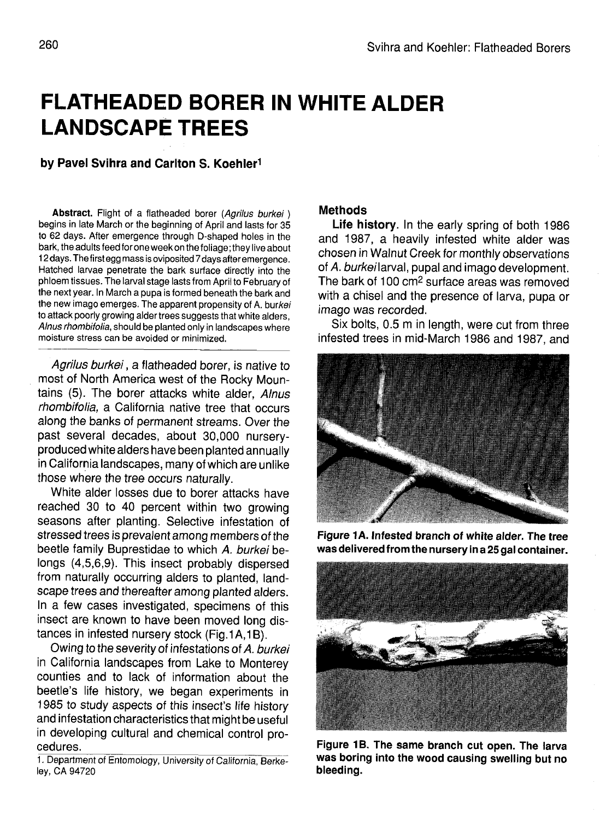## **FLATHEADED BORER IN WHITE ALDER LANDSCAPE TREES**

## **by Pavel Svihra and Carlton S. Koehler<sup>1</sup>**

Abstract. Flight of a flatheaded borer (Agrilus burkei) begins in late March or the beginning of April and lasts for 35 to 62 days. After emergence through D-shaped holes in the bark, the adults feed for one week on the foliage; they live about 12 days. The first egg mass is oviposited 7 days after emergence. Hatched larvae penetrate the bark surface directly into the phloem tissues. The larval stage lasts from April to February of the next year. In March a pupa is formed beneath the bark and the new imago emerges. The apparent propensity of A. burkei to attack poorly growing alder trees suggests that white alders, Alnus rhombifolia, should be planted only in landscapes where moisture stress can be avoided or minimized.

Agrilus burkei, a flatheaded borer, is native to most of North America west of the Rocky Mountains (5). The borer attacks white alder, Alnus rhombifolia, a California native tree that occurs along the banks of permanent streams. Over the past several decades, about 30,000 nurseryproduced white alders have been planted annually in California landscapes, many of which are unlike those where the tree occurs naturally.

White alder losses due to borer attacks have reached 30 to 40 percent within two growing seasons after planting. Selective infestation of stressed trees is prevalent among members of the beetle family Buprestidae to which A. burkei belongs (4,5,6,9). This insect probably dispersed from naturally occurring alders to planted, landscape trees and thereafter among planted alders. In a few cases investigated, specimens of this insect are known to have been moved long distances in infested nursery stock (Fig.1 A,1B).

Owing to the severity of infestations of A. burkei in California landscapes from Lake to Monterey counties and to lack of information about the beetle's life history, we began experiments in 1985 to study aspects of this insect's life history and infestation characteristics that might be useful in developing cultural and chemical control procedures.

1. Department of Entomology, University of California, Berkeley, CA 94720

## **Methods**

**Life history.** In the early spring of both 1986 and 1987, a heavily infested white alder was chosen in Walnut Creek for monthly observations of A. burkeilarval, pupal and imago development. The bark of 100 cm<sup>2</sup> surface areas was removed with a chisel and the presence of larva, pupa or imago was recorded.

Six bolts, 0.5 m in length, were cut from three infested trees in mid-March 1986 and 1987, and



**Figure 1 A. Infested branch of white alder. The tree was delivered from the nursery in a 25 gal container.**



**Figure 1B. The same branch cut open. The larva was boring into the wood causing swelling but no bleeding.**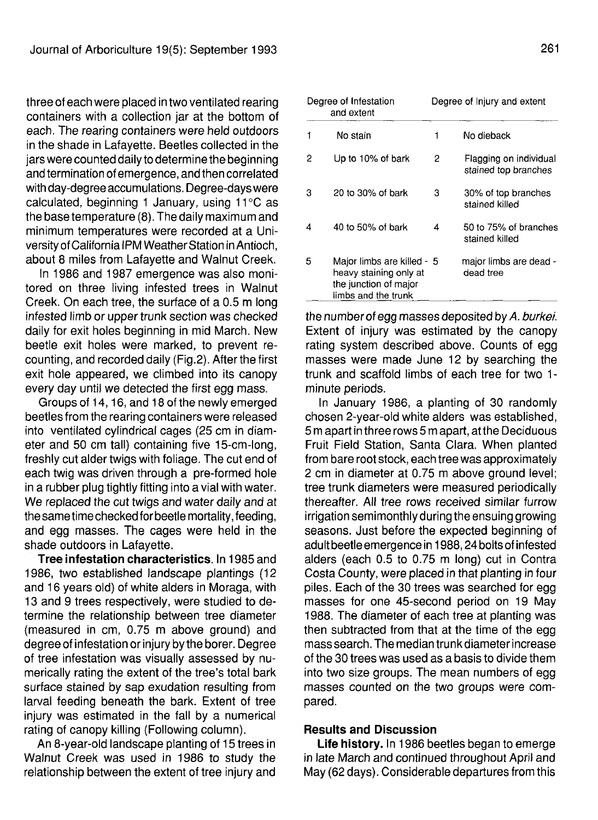three of each were placed in two ventilated rearing containers with a collection jar at the bottom of each. The rearing containers were held outdoors in the shade in Lafayette. Beetles collected in the jars were counted daily to determine the beginning and termination of emergence, and then correlated with day-degree accumulations. Degree-days were calculated, beginning 1 January, using 11°C as the base temperature (8). The daily maximum and minimum temperatures were recorded at a University of California IPM Weather Station in Antioch. about 8 miles from Lafayette and Walnut Creek.

In 1986 and 1987 emergence was also monitored on three living infested trees in Walnut Creek. On each tree, the surface of a 0.5 m long infested limb or upper trunk section was checked daily for exit holes beginning in mid March. New beetle exit holes were marked, to prevent recounting, and recorded daily (Fig.2). After the first exit hole appeared, we climbed into its canopy every day until we detected the first egg mass.

Groups of 14,16, and 18 of the newly emerged beetles from the rearing containers were released into ventilated cylindrical cages (25 cm in diameter and 50 cm tall) containing five 15-cm-long, freshly cut alder twigs with foliage. The cut end of each twig was driven through a pre-formed hole in a rubber plug tightly fitting into a vial with water. We replaced the cut twigs and water daily and at the same time checked for beetle mortality, feeding, and egg masses. The cages were held in the shade outdoors in Lafayette.

**Tree infestation characteristics.** In 1985 and 1986, two established landscape plantings (12 and 16 years old) of white alders in Moraga, with 13 and 9 trees respectively, were studied to determine the relationship between tree diameter (measured in cm, 0.75 m above ground) and degree of infestation or injury by the borer. Degree of tree infestation was visually assessed by numerically rating the extent of the tree's total bark surface stained by sap exudation resulting from larval feeding beneath the bark. Extent of tree injury was estimated in the fall by a numerical rating of canopy killing (Following column).

An 8-year-old landscape planting of 15 trees in Walnut Creek was used in 1986 to study the relationship between the extent of tree injury and

| Degree of Infestation<br>and extent |                                                                                                      | Degree of Injury and extent |                                                |
|-------------------------------------|------------------------------------------------------------------------------------------------------|-----------------------------|------------------------------------------------|
|                                     | No stain                                                                                             | 1                           | No dieback                                     |
| 2                                   | Up to 10% of bark                                                                                    | 2                           | Flagging on individual<br>stained top branches |
| з                                   | 20 to 30% of bark                                                                                    | з                           | 30% of top branches<br>stained killed          |
| 4                                   | 40 to 50% of bark                                                                                    | 4                           | 50 to 75% of branches<br>stained killed        |
| 5                                   | Major limbs are killed - 5<br>heavy staining only at<br>the junction of major<br>limbs and the trunk |                             | major limbs are dead -<br>dead tree            |

the number of egg masses deposited by A. burkei. Extent of injury was estimated by the canopy rating system described above. Counts of egg masses were made June 12 by searching the trunk and scaffold limbs of each tree for two 1 minute periods.

In January 1986, a planting of 30 randomly chosen 2-year-old white alders was established, 5 m apart in three rows 5 m apart, at the Deciduous Fruit Field Station, Santa Clara. When planted from bare root stock, each tree was approximately 2 cm in diameter at 0.75 m above ground level; tree trunk diameters were measured periodically thereafter. All tree rows received similar furrow irrigation semimonthly during the ensuing growing seasons. Just before the expected beginning of adult beetle emergence in 1988,24 bolts of infested alders (each 0.5 to 0.75 m long) cut in Contra Costa County, were placed in that planting in four piles. Each of the 30 trees was searched for egg masses for one 45-second period on 19 May 1988. The diameter of each tree at planting was then subtracted from that at the time of the egg mass search. The median trunkdiameter increase of the 30 trees was used as a basis to divide them into two size groups. The mean numbers of egg masses counted on the two groups were compared.

## **Results and Discussion**

**Life history.** In 1986 beetles began to emerge in late March and continued throughout April and May (62 days). Considerable departures from this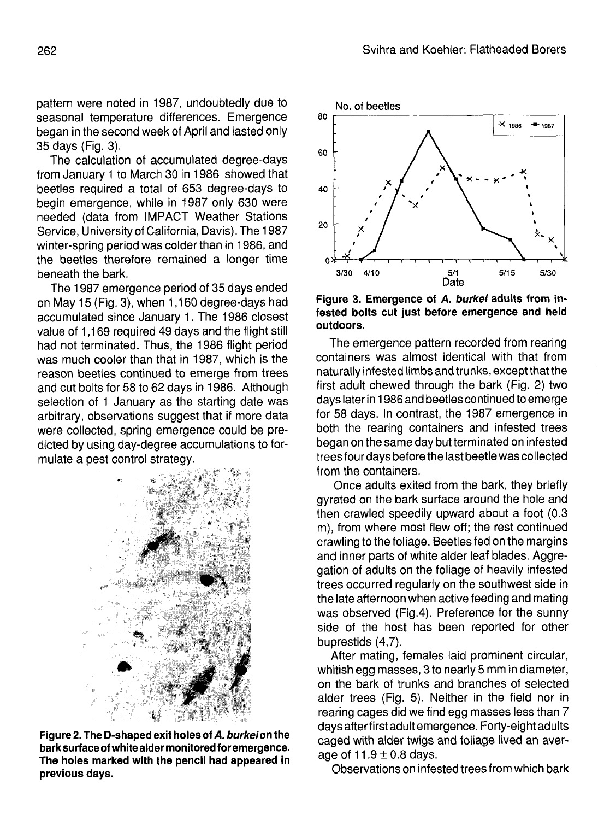pattern were noted in 1987, undoubtedly due to seasonal temperature differences. Emergence began in the second week of April and lasted only 35 days (Fig. 3).

The calculation of accumulated degree-days from January 1 to March 30 in 1986 showed that beetles required a total of 653 degree-days to begin emergence, while in 1987 only 630 were needed (data from IMPACT Weather Stations Service, University of California, Davis). The 1987 winter-spring period was colder than in 1986, and the beetles therefore remained a longer time beneath the bark.

The 1987 emergence period of 35 days ended on May 15 (Fig. 3), when 1,160 degree-days had accumulated since January 1. The 1986 closest value of 1,169 required 49 days and the flight still had not terminated. Thus, the 1986 flight period was much cooler than that in 1987, which is the reason beetles continued to emerge from trees and cut bolts for 58 to 62 days in 1986. Although selection of 1 January as the starting date was arbitrary, observations suggest that if more data were collected, spring emergence could be predicted by using day-degree accumulations to formulate a pest control strategy.



**Figure 2. The D-shaped exit holes of A. burkeion the bark surface of white alder monitored for emergence. The holes marked with the pencil had appeared in previous days.**



**Figure 3. Emergence of A. burkei adults from infested bolts cut just before emergence and held outdoors.**

The emergence pattern recorded from rearing containers was almost identical with that from naturally infested limbs and trunks, except that the first adult chewed through the bark (Fig. 2) two days later in 1986 and beetles continued to emerge for 58 days. In contrast, the 1987 emergence in both the rearing containers and infested trees began on the same day but terminated on infested trees four days before the last beetle was collected from the containers.

Once adults exited from the bark, they briefly gyrated on the bark surface around the hole and then crawled speedily upward about a foot (0.3 m), from where most flew off; the rest continued crawling to the foliage. Beetles fed on the margins and inner parts of white alder leaf blades. Aggregation of adults on the foliage of heavily infested trees occurred regularly on the southwest side in the late afternoon when active feeding and mating was observed (Fig.4). Preference for the sunny side of the host has been reported for other buprestids (4,7).

After mating, females laid prominent circular, whitish egg masses, 3 to nearly 5 mm in diameter, on the bark of trunks and branches of selected alder trees (Fig. 5). Neither in the field nor in rearing cages did we find egg masses less than 7 days after first adult emergence. Forty-eight adults caged with alder twigs and foliage lived an average of  $11.9 \pm 0.8$  days.

Observations on infested trees from which bark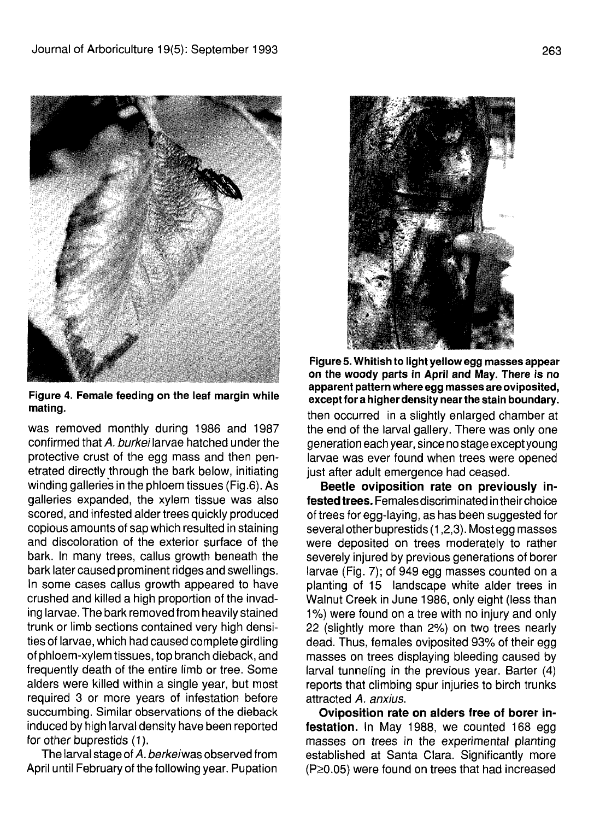

Figure 4. Female feeding on the leaf margin while mating.

was removed monthly during 1986 and 1987 confirmed that A, burkei larvae hatched under the protective crust of the egg mass and then penetrated directly through the bark below, initiating winding galleries in the phloem tissues (Fig.6). As galleries expanded, the xylem tissue was also scored, and infested alder trees quickly produced copious amounts of sap which resulted in staining and discoloration of the exterior surface of the bark. In many trees, callus growth beneath the bark later caused prominent ridges and swellings. In some cases callus growth appeared to have crushed and killed a high proportion of the invading larvae. The bark removed from heavily stained trunk or limb sections contained very high densities of larvae, which had caused complete girdling of phloem-xylem tissues, top branch dieback, and frequently death of the entire limb or tree. Some alders were killed within a single year, but most required 3 or more years of infestation before succumbing. Similar observations of the dieback induced by high larval density have been reported for other buprestids (1).

The larval stage of A. berkeiwas observed from April until February of the following year. Pupation



Figure 5. Whitish to light yellow egg masses appear on the woody parts in April and May. There is no apparent pattern where egg masses are oviposited, except for a higher density near the stain boundary. then occurred in a slightly enlarged chamber at the end of the larval gallery. There was only one generation each year, since no stage exceptyoung larvae was ever found when trees were opened just after adult emergence had ceased.

**Beetle oviposition rate on previously infested trees.** Femalesdiscriminated in theirchoice of trees for egg-laying, as has been suggested for several other buprestids (1,2,3). Most egg masses were deposited on trees moderately to rather severely injured by previous generations of borer larvae (Fig. 7); of 949 egg masses counted on a planting of 15 landscape white alder trees in Walnut Creek in June 1986, only eight (less than 1%) were found on a tree with no injury and only 22 (slightly more than 2%) on two trees nearly dead. Thus, females oviposited 93% of their egg masses on trees displaying bleeding caused by larval tunneling in the previous year. Barter (4) reports that climbing spur injuries to birch trunks attracted A. anxius.

**Oviposition rate on alders free of borer infestation.** In May 1988, we counted 168 egg masses on trees in the experimental planting established at Santa Clara. Significantly more  $(P \ge 0.05)$  were found on trees that had increased